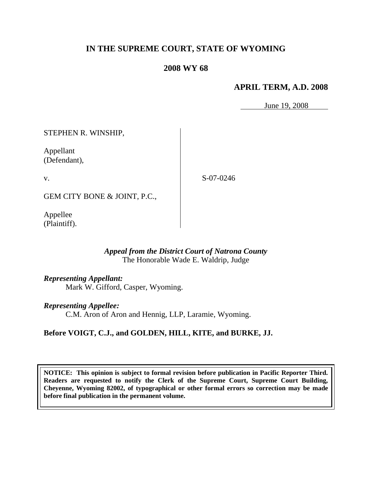# **IN THE SUPREME COURT, STATE OF WYOMING**

## **2008 WY 68**

## **APRIL TERM, A.D. 2008**

June 19, 2008

STEPHEN R. WINSHIP,

Appellant (Defendant),

v.

S-07-0246

GEM CITY BONE & JOINT, P.C.,

Appellee (Plaintiff).

#### *Appeal from the District Court of Natrona County* The Honorable Wade E. Waldrip, Judge

#### *Representing Appellant:*

Mark W. Gifford, Casper, Wyoming.

#### *Representing Appellee:*

C.M. Aron of Aron and Hennig, LLP, Laramie, Wyoming.

## **Before VOIGT, C.J., and GOLDEN, HILL, KITE, and BURKE, JJ.**

**NOTICE: This opinion is subject to formal revision before publication in Pacific Reporter Third. Readers are requested to notify the Clerk of the Supreme Court, Supreme Court Building, Cheyenne, Wyoming 82002, of typographical or other formal errors so correction may be made before final publication in the permanent volume.**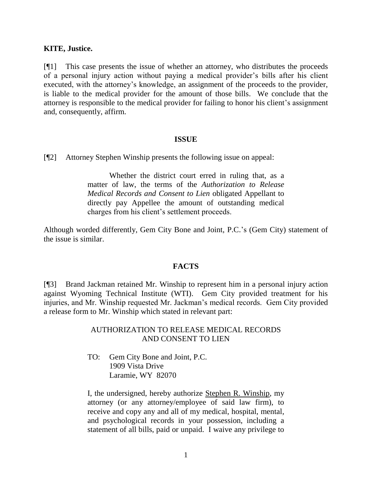#### **KITE, Justice.**

[¶1] This case presents the issue of whether an attorney, who distributes the proceeds of a personal injury action without paying a medical provider"s bills after his client executed, with the attorney"s knowledge, an assignment of the proceeds to the provider, is liable to the medical provider for the amount of those bills. We conclude that the attorney is responsible to the medical provider for failing to honor his client"s assignment and, consequently, affirm.

#### **ISSUE**

[¶2] Attorney Stephen Winship presents the following issue on appeal:

Whether the district court erred in ruling that, as a matter of law, the terms of the *Authorization to Release Medical Records and Consent to Lien* obligated Appellant to directly pay Appellee the amount of outstanding medical charges from his client"s settlement proceeds.

Although worded differently, Gem City Bone and Joint, P.C."s (Gem City) statement of the issue is similar.

#### **FACTS**

[¶3] Brand Jackman retained Mr. Winship to represent him in a personal injury action against Wyoming Technical Institute (WTI). Gem City provided treatment for his injuries, and Mr. Winship requested Mr. Jackman"s medical records. Gem City provided a release form to Mr. Winship which stated in relevant part:

> AUTHORIZATION TO RELEASE MEDICAL RECORDS AND CONSENT TO LIEN

TO: Gem City Bone and Joint, P.C. 1909 Vista Drive Laramie, WY 82070

I, the undersigned, hereby authorize Stephen R. Winship, my attorney (or any attorney/employee of said law firm), to receive and copy any and all of my medical, hospital, mental, and psychological records in your possession, including a statement of all bills, paid or unpaid. I waive any privilege to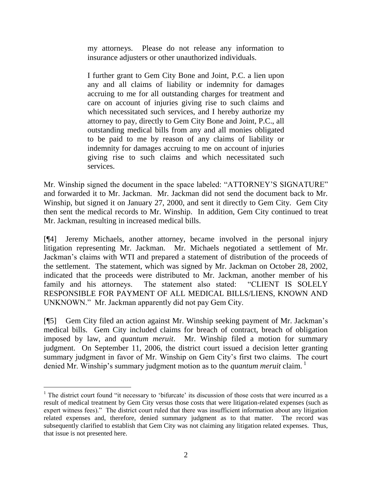my attorneys. Please do not release any information to insurance adjusters or other unauthorized individuals.

I further grant to Gem City Bone and Joint, P.C. a lien upon any and all claims of liability or indemnity for damages accruing to me for all outstanding charges for treatment and care on account of injuries giving rise to such claims and which necessitated such services, and I hereby authorize my attorney to pay, directly to Gem City Bone and Joint, P.C., all outstanding medical bills from any and all monies obligated to be paid to me by reason of any claims of liability or indemnity for damages accruing to me on account of injuries giving rise to such claims and which necessitated such services.

Mr. Winship signed the document in the space labeled: "ATTORNEY"S SIGNATURE" and forwarded it to Mr. Jackman. Mr. Jackman did not send the document back to Mr. Winship, but signed it on January 27, 2000, and sent it directly to Gem City. Gem City then sent the medical records to Mr. Winship. In addition, Gem City continued to treat Mr. Jackman, resulting in increased medical bills.

[¶4] Jeremy Michaels, another attorney, became involved in the personal injury litigation representing Mr. Jackman. Mr. Michaels negotiated a settlement of Mr. Jackman"s claims with WTI and prepared a statement of distribution of the proceeds of the settlement. The statement, which was signed by Mr. Jackman on October 28, 2002, indicated that the proceeds were distributed to Mr. Jackman, another member of his family and his attorneys. The statement also stated: "CLIENT IS SOLELY RESPONSIBLE FOR PAYMENT OF ALL MEDICAL BILLS/LIENS, KNOWN AND UNKNOWN." Mr. Jackman apparently did not pay Gem City.

[¶5] Gem City filed an action against Mr. Winship seeking payment of Mr. Jackman"s medical bills. Gem City included claims for breach of contract, breach of obligation imposed by law, and *quantum meruit*. Mr. Winship filed a motion for summary judgment. On September 11, 2006, the district court issued a decision letter granting summary judgment in favor of Mr. Winship on Gem City"s first two claims. The court denied Mr. Winship's summary judgment motion as to the *quantum meruit* claim.<sup>1</sup>

 $\overline{a}$ 

<sup>&</sup>lt;sup>1</sup> The district court found "it necessary to 'bifurcate' its discussion of those costs that were incurred as a result of medical treatment by Gem City versus those costs that were litigation-related expenses (such as expert witness fees)." The district court ruled that there was insufficient information about any litigation related expenses and, therefore, denied summary judgment as to that matter. The record was subsequently clarified to establish that Gem City was not claiming any litigation related expenses. Thus, that issue is not presented here.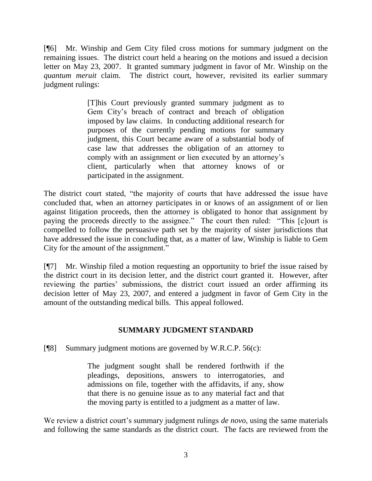[¶6] Mr. Winship and Gem City filed cross motions for summary judgment on the remaining issues. The district court held a hearing on the motions and issued a decision letter on May 23, 2007. It granted summary judgment in favor of Mr. Winship on the *quantum meruit* claim. The district court, however, revisited its earlier summary judgment rulings:

> [T]his Court previously granted summary judgment as to Gem City"s breach of contract and breach of obligation imposed by law claims. In conducting additional research for purposes of the currently pending motions for summary judgment, this Court became aware of a substantial body of case law that addresses the obligation of an attorney to comply with an assignment or lien executed by an attorney"s client, particularly when that attorney knows of or participated in the assignment.

The district court stated, "the majority of courts that have addressed the issue have concluded that, when an attorney participates in or knows of an assignment of or lien against litigation proceeds, then the attorney is obligated to honor that assignment by paying the proceeds directly to the assignee." The court then ruled: "This [c]ourt is compelled to follow the persuasive path set by the majority of sister jurisdictions that have addressed the issue in concluding that, as a matter of law, Winship is liable to Gem City for the amount of the assignment."

[¶7] Mr. Winship filed a motion requesting an opportunity to brief the issue raised by the district court in its decision letter, and the district court granted it. However, after reviewing the parties' submissions, the district court issued an order affirming its decision letter of May 23, 2007, and entered a judgment in favor of Gem City in the amount of the outstanding medical bills. This appeal followed.

## **SUMMARY JUDGMENT STANDARD**

[¶8] Summary judgment motions are governed by W.R.C.P. 56(c):

The judgment sought shall be rendered forthwith if the pleadings, depositions, answers to interrogatories, and admissions on file, together with the affidavits, if any, show that there is no genuine issue as to any material fact and that the moving party is entitled to a judgment as a matter of law.

We review a district court's summary judgment rulings *de novo*, using the same materials and following the same standards as the district court. The facts are reviewed from the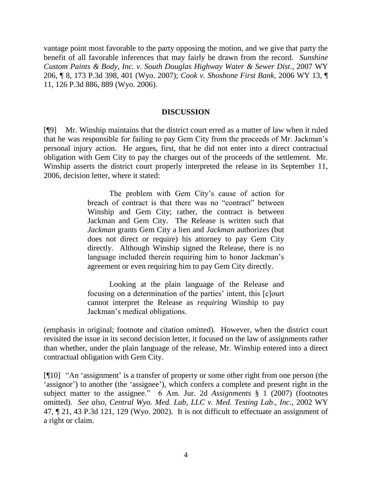vantage point most favorable to the party opposing the motion, and we give that party the benefit of all favorable inferences that may fairly be drawn from the record. *Sunshine Custom Paints & Body, Inc. v. South Douglas Highway Water & Sewer Dist.,* 2007 WY 206, ¶ 8, 173 P.3d 398, 401 (Wyo. 2007); *Cook v. Shoshone First Bank,* 2006 WY 13, ¶ 11, 126 P.3d 886, 889 (Wyo. 2006).

#### **DISCUSSION**

[¶9] Mr. Winship maintains that the district court erred as a matter of law when it ruled that he was responsible for failing to pay Gem City from the proceeds of Mr. Jackman"s personal injury action. He argues, first, that he did not enter into a direct contractual obligation with Gem City to pay the charges out of the proceeds of the settlement. Mr. Winship asserts the district court properly interpreted the release in its September 11, 2006, decision letter, where it stated:

> The problem with Gem City's cause of action for breach of contract is that there was no "contract" between Winship and Gem City; rather, the contract is between Jackman and Gem City. The Release is written such that *Jackman* grants Gem City a lien and *Jackman* authorizes (but does not direct or require) his attorney to pay Gem City directly. Although Winship signed the Release, there is no language included therein requiring him to honor Jackman's agreement or even requiring him to pay Gem City directly.

> Looking at the plain language of the Release and focusing on a determination of the parties' intent, this [c]ourt cannot interpret the Release as *requiring* Winship to pay Jackman"s medical obligations.

(emphasis in original; footnote and citation omitted). However, when the district court revisited the issue in its second decision letter, it focused on the law of assignments rather than whether, under the plain language of the release, Mr. Winship entered into a direct contractual obligation with Gem City.

[¶10] "An "assignment" is a transfer of property or some other right from one person (the 'assignor') to another (the 'assignee'), which confers a complete and present right in the subject matter to the assignee." 6 Am. Jur. 2d *Assignments* § 1 (2007) (footnotes omitted). *See also*, *Central Wyo. Med. Lab, LLC v. Med. Testing Lab., Inc.,* 2002 WY 47, ¶ 21, 43 P.3d 121, 129 (Wyo. 2002). It is not difficult to effectuate an assignment of a right or claim.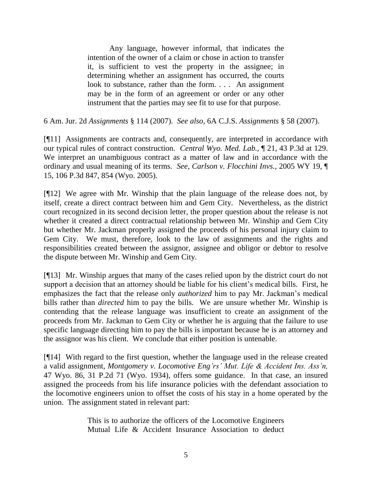Any language, however informal, that indicates the intention of the owner of a claim or chose in action to transfer it, is sufficient to vest the property in the assignee; in determining whether an assignment has occurred, the courts look to substance, rather than the form. . . . An assignment may be in the form of an agreement or order or any other instrument that the parties may see fit to use for that purpose.

6 Am. Jur. 2d *Assignments* § 114 (2007). *See also*, 6A C.J.S. *Assignments* § 58 (2007).

[¶11] Assignments are contracts and, consequently, are interpreted in accordance with our typical rules of contract construction. *Central Wyo. Med. Lab.,* ¶ 21, 43 P.3d at 129. We interpret an unambiguous contract as a matter of law and in accordance with the ordinary and usual meaning of its terms. *See*, *Carlson v. Flocchini Invs.*, 2005 WY 19, ¶ 15, 106 P.3d 847, 854 (Wyo. 2005).

[¶12] We agree with Mr. Winship that the plain language of the release does not, by itself, create a direct contract between him and Gem City. Nevertheless, as the district court recognized in its second decision letter, the proper question about the release is not whether it created a direct contractual relationship between Mr. Winship and Gem City but whether Mr. Jackman properly assigned the proceeds of his personal injury claim to Gem City. We must, therefore, look to the law of assignments and the rights and responsibilities created between the assignor, assignee and obligor or debtor to resolve the dispute between Mr. Winship and Gem City.

[¶13] Mr. Winship argues that many of the cases relied upon by the district court do not support a decision that an attorney should be liable for his client's medical bills. First, he emphasizes the fact that the release only *authorized* him to pay Mr. Jackman"s medical bills rather than *directed* him to pay the bills. We are unsure whether Mr. Winship is contending that the release language was insufficient to create an assignment of the proceeds from Mr. Jackman to Gem City or whether he is arguing that the failure to use specific language directing him to pay the bills is important because he is an attorney and the assignor was his client. We conclude that either position is untenable.

[¶14] With regard to the first question, whether the language used in the release created a valid assignment, *Montgomery v. Locomotive Eng'rs' Mut. Life & Accident Ins. Ass'n,*  47 Wyo. 86, 31 P.2d 71 (Wyo. 1934), offers some guidance. In that case, an insured assigned the proceeds from his life insurance policies with the defendant association to the locomotive engineers union to offset the costs of his stay in a home operated by the union. The assignment stated in relevant part:

> This is to authorize the officers of the Locomotive Engineers Mutual Life & Accident Insurance Association to deduct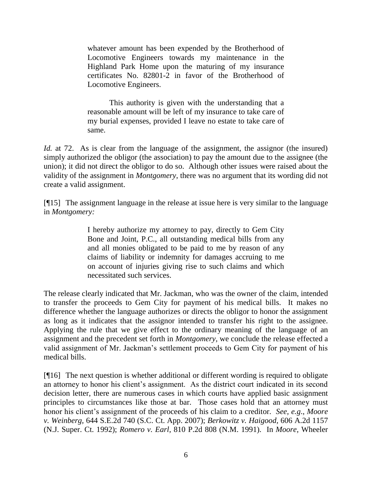whatever amount has been expended by the Brotherhood of Locomotive Engineers towards my maintenance in the Highland Park Home upon the maturing of my insurance certificates No. 82801-2 in favor of the Brotherhood of Locomotive Engineers.

This authority is given with the understanding that a reasonable amount will be left of my insurance to take care of my burial expenses, provided I leave no estate to take care of same.

*Id.* at 72. As is clear from the language of the assignment, the assignor (the insured) simply authorized the obligor (the association) to pay the amount due to the assignee (the union); it did not direct the obligor to do so. Although other issues were raised about the validity of the assignment in *Montgomery*, there was no argument that its wording did not create a valid assignment.

[¶15] The assignment language in the release at issue here is very similar to the language in *Montgomery:*

> I hereby authorize my attorney to pay, directly to Gem City Bone and Joint, P.C., all outstanding medical bills from any and all monies obligated to be paid to me by reason of any claims of liability or indemnity for damages accruing to me on account of injuries giving rise to such claims and which necessitated such services.

The release clearly indicated that Mr. Jackman, who was the owner of the claim, intended to transfer the proceeds to Gem City for payment of his medical bills. It makes no difference whether the language authorizes or directs the obligor to honor the assignment as long as it indicates that the assignor intended to transfer his right to the assignee. Applying the rule that we give effect to the ordinary meaning of the language of an assignment and the precedent set forth in *Montgomery,* we conclude the release effected a valid assignment of Mr. Jackman"s settlement proceeds to Gem City for payment of his medical bills.

[¶16] The next question is whether additional or different wording is required to obligate an attorney to honor his client's assignment. As the district court indicated in its second decision letter, there are numerous cases in which courts have applied basic assignment principles to circumstances like those at bar. Those cases hold that an attorney must honor his client"s assignment of the proceeds of his claim to a creditor. *See, e.g*., *Moore v. Weinberg,* 644 S.E.2d 740 (S.C. Ct. App. 2007); *Berkowitz v. Haigood,* 606 A.2d 1157 (N.J. Super. Ct. 1992); *Romero v. Earl,* 810 P.2d 808 (N.M. 1991). In *Moore,* Wheeler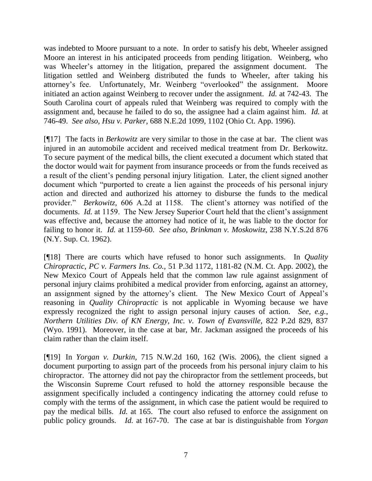was indebted to Moore pursuant to a note. In order to satisfy his debt, Wheeler assigned Moore an interest in his anticipated proceeds from pending litigation. Weinberg, who was Wheeler's attorney in the litigation, prepared the assignment document. The litigation settled and Weinberg distributed the funds to Wheeler, after taking his attorney"s fee. Unfortunately, Mr. Weinberg "overlooked" the assignment. Moore initiated an action against Weinberg to recover under the assignment. *Id.* at 742-43. The South Carolina court of appeals ruled that Weinberg was required to comply with the assignment and, because he failed to do so, the assignee had a claim against him. *Id.* at 746-49. *See also*, *Hsu v. Parker,* 688 N.E.2d 1099, 1102 (Ohio Ct. App. 1996).

[¶17] The facts in *Berkowitz* are very similar to those in the case at bar. The client was injured in an automobile accident and received medical treatment from Dr. Berkowitz. To secure payment of the medical bills, the client executed a document which stated that the doctor would wait for payment from insurance proceeds or from the funds received as a result of the client"s pending personal injury litigation. Later, the client signed another document which "purported to create a lien against the proceeds of his personal injury action and directed and authorized his attorney to disburse the funds to the medical provider." *Berkowitz,* 606 A.2d at 1158. The client"s attorney was notified of the documents. *Id.* at 1159. The New Jersey Superior Court held that the client's assignment was effective and, because the attorney had notice of it, he was liable to the doctor for failing to honor it. *Id.* at 1159-60. *See also*, *Brinkman v. Moskowitz,* 238 N.Y.S.2d 876 (N.Y. Sup. Ct. 1962).

[¶18] There are courts which have refused to honor such assignments. In *Quality Chiropractic, PC v. Farmers Ins. Co.,* 51 P.3d 1172, 1181-82 (N.M. Ct. App. 2002), the New Mexico Court of Appeals held that the common law rule against assignment of personal injury claims prohibited a medical provider from enforcing, against an attorney, an assignment signed by the attorney's client. The New Mexico Court of Appeal's reasoning in *Quality Chiropractic* is not applicable in Wyoming because we have expressly recognized the right to assign personal injury causes of action. *See, e.g.*, *Northern Utilities Div. of KN Energy, Inc. v. Town of Evansville,* 822 P.2d 829, 837 (Wyo. 1991). Moreover, in the case at bar, Mr. Jackman assigned the proceeds of his claim rather than the claim itself.

[¶19] In *Yorgan v. Durkin,* 715 N.W.2d 160, 162 (Wis. 2006), the client signed a document purporting to assign part of the proceeds from his personal injury claim to his chiropractor. The attorney did not pay the chiropractor from the settlement proceeds, but the Wisconsin Supreme Court refused to hold the attorney responsible because the assignment specifically included a contingency indicating the attorney could refuse to comply with the terms of the assignment, in which case the patient would be required to pay the medical bills. *Id.* at 165. The court also refused to enforce the assignment on public policy grounds. *Id.* at 167-70. The case at bar is distinguishable from *Yorgan*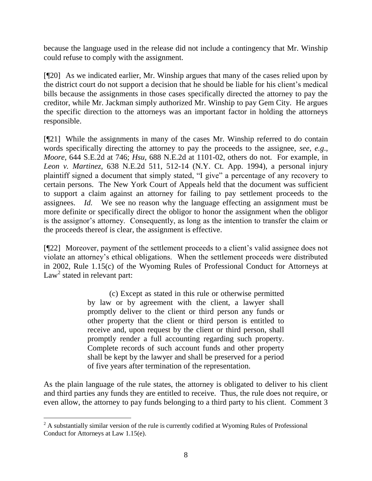because the language used in the release did not include a contingency that Mr. Winship could refuse to comply with the assignment.

[¶20] As we indicated earlier, Mr. Winship argues that many of the cases relied upon by the district court do not support a decision that he should be liable for his client"s medical bills because the assignments in those cases specifically directed the attorney to pay the creditor, while Mr. Jackman simply authorized Mr. Winship to pay Gem City. He argues the specific direction to the attorneys was an important factor in holding the attorneys responsible.

[¶21] While the assignments in many of the cases Mr. Winship referred to do contain words specifically directing the attorney to pay the proceeds to the assignee, *see, e.g*., *Moore,* 644 S.E.2d at 746; *Hsu,* 688 N.E.2d at 1101-02, others do not. For example, in *Leon v. Martinez,* 638 N.E.2d 511, 512-14 (N.Y. Ct. App. 1994), a personal injury plaintiff signed a document that simply stated, "I give" a percentage of any recovery to certain persons. The New York Court of Appeals held that the document was sufficient to support a claim against an attorney for failing to pay settlement proceeds to the assignees. *Id.* We see no reason why the language effecting an assignment must be more definite or specifically direct the obligor to honor the assignment when the obligor is the assignor's attorney. Consequently, as long as the intention to transfer the claim or the proceeds thereof is clear, the assignment is effective.

[¶22] Moreover, payment of the settlement proceeds to a client"s valid assignee does not violate an attorney"s ethical obligations. When the settlement proceeds were distributed in 2002, Rule 1.15(c) of the Wyoming Rules of Professional Conduct for Attorneys at  $Law<sup>2</sup>$  stated in relevant part:

> (c) Except as stated in this rule or otherwise permitted by law or by agreement with the client, a lawyer shall promptly deliver to the client or third person any funds or other property that the client or third person is entitled to receive and, upon request by the client or third person, shall promptly render a full accounting regarding such property. Complete records of such account funds and other property shall be kept by the lawyer and shall be preserved for a period of five years after termination of the representation.

As the plain language of the rule states, the attorney is obligated to deliver to his client and third parties any funds they are entitled to receive. Thus, the rule does not require, or even allow, the attorney to pay funds belonging to a third party to his client. Comment 3

 $\overline{a}$ 

 $2^2$  A substantially similar version of the rule is currently codified at Wyoming Rules of Professional Conduct for Attorneys at Law 1.15(e).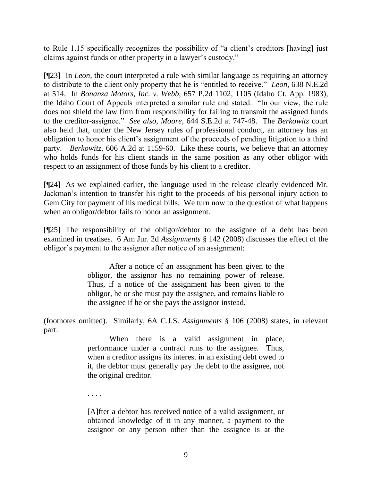to Rule 1.15 specifically recognizes the possibility of "a client"s creditors [having] just claims against funds or other property in a lawyer"s custody."

[¶23] In *Leon*, the court interpreted a rule with similar language as requiring an attorney to distribute to the client only property that he is "entitled to receive." *Leon,* 638 N.E.2d at 514. In *Bonanza Motors, Inc. v. Webb,* 657 P.2d 1102, 1105 (Idaho Ct. App. 1983)*,*  the Idaho Court of Appeals interpreted a similar rule and stated: "In our view, the rule does not shield the law firm from responsibility for failing to transmit the assigned funds to the creditor-assignee." *See also*, *Moore,* 644 S.E.2d at 747-48. The *Berkowitz* court also held that, under the New Jersey rules of professional conduct, an attorney has an obligation to honor his client"s assignment of the proceeds of pending litigation to a third party. *Berkowitz*, 606 A.2d at 1159-60. Like these courts, we believe that an attorney who holds funds for his client stands in the same position as any other obligor with respect to an assignment of those funds by his client to a creditor.

[¶24] As we explained earlier, the language used in the release clearly evidenced Mr. Jackman"s intention to transfer his right to the proceeds of his personal injury action to Gem City for payment of his medical bills. We turn now to the question of what happens when an obligor/debtor fails to honor an assignment.

[¶25] The responsibility of the obligor/debtor to the assignee of a debt has been examined in treatises. 6 Am Jur. 2d *Assignments* § 142 (2008) discusses the effect of the obligor"s payment to the assignor after notice of an assignment:

> After a notice of an assignment has been given to the obligor, the assignor has no remaining power of release. Thus, if a notice of the assignment has been given to the obligor, he or she must pay the assignee, and remains liable to the assignee if he or she pays the assignor instead.

(footnotes omitted). Similarly, 6A C.J.S. *Assignments* § 106 (2008) states, in relevant part:

> When there is a valid assignment in place, performance under a contract runs to the assignee. Thus, when a creditor assigns its interest in an existing debt owed to it, the debtor must generally pay the debt to the assignee, not the original creditor.

[A]fter a debtor has received notice of a valid assignment, or obtained knowledge of it in any manner, a payment to the assignor or any person other than the assignee is at the

. . . .